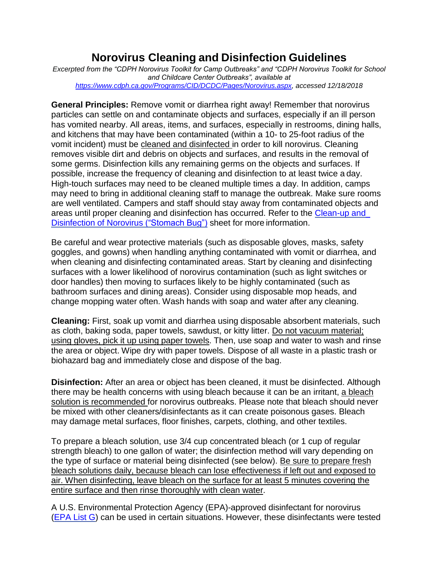## **Norovirus Cleaning and Disinfection Guidelines**

*Excerpted from the "CDPH Norovirus Toolkit for Camp Outbreaks" and "CDPH Norovirus Toolkit for School and Childcare Center Outbreaks", available at [https://www.cdph.ca.gov/Programs/CID/DCDC/Pages/Norovirus.aspx,](https://www.cdph.ca.gov/Programs/CID/DCDC/Pages/Norovirus.aspx) accessed 12/18/2018*

**General Principles:** Remove vomit or diarrhea right away! Remember that norovirus particles can settle on and contaminate objects and surfaces, especially if an ill person has vomited nearby. All areas, items, and surfaces, especially in restrooms, dining halls, and kitchens that may have been contaminated (within a 10- to 25-foot radius of the vomit incident) must be cleaned and disinfected in order to kill norovirus. Cleaning removes visible dirt and debris on objects and surfaces, and results in the removal of some germs. Disinfection kills any remaining germs on the objects and surfaces. If possible, increase the frequency of cleaning and disinfection to at least twice a day. High-touch surfaces may need to be cleaned multiple times a day. In addition, camps may need to bring in additional cleaning staff to manage the outbreak. Make sure rooms are well ventilated. Campers and staff should stay away from contaminated objects and areas until proper cleaning and disinfection has occurred. Refer to the [Clean-up](https://waterandhealth.org/wp-content/themes/accfl/pdfs/NorovirusPrevent_8.5x11_English_Color.pdf) and [Disinfection](https://waterandhealth.org/wp-content/themes/accfl/pdfs/NorovirusPrevent_8.5x11_English_Color.pdf) of Norovirus ("Stomach Bug") sheet for more information.

Be careful and wear protective materials (such as disposable gloves, masks, safety goggles, and gowns) when handling anything contaminated with vomit or diarrhea, and when cleaning and disinfecting contaminated areas. Start by cleaning and disinfecting surfaces with a lower likelihood of norovirus contamination (such as light switches or door handles) then moving to surfaces likely to be highly contaminated (such as bathroom surfaces and dining areas). Consider using disposable mop heads, and change mopping water often. Wash hands with soap and water after any cleaning.

**Cleaning:** First, soak up vomit and diarrhea using disposable absorbent materials, such as cloth, baking soda, paper towels, sawdust, or kitty litter. Do not vacuum material; using gloves, pick it up using paper towels. Then, use soap and water to wash and rinse the area or object. Wipe dry with paper towels. Dispose of all waste in a plastic trash or biohazard bag and immediately close and dispose of the bag.

**Disinfection:** After an area or object has been cleaned, it must be disinfected. Although there may be health concerns with using bleach because it can be an irritant, a bleach solution is recommended for norovirus outbreaks. Please note that bleach should never be mixed with other cleaners/disinfectants as it can create poisonous gases. Bleach may damage metal surfaces, floor finishes, carpets, clothing, and other textiles.

To prepare a bleach solution, use 3/4 cup concentrated bleach (or 1 cup of regular strength bleach) to one gallon of water; the disinfection method will vary depending on the type of surface or material being disinfected (see below). Be sure to prepare fresh bleach solutions daily, because bleach can lose effectiveness if left out and exposed to air. When disinfecting, leave bleach on the surface for at least 5 minutes covering the entire surface and then rinse thoroughly with clean water.

A U.S. Environmental Protection Agency (EPA)-approved disinfectant for norovirus [\(EPA](https://www.epa.gov/pesticide-registration/list-g-epas-registered-antimicrobial-products-effective-against-norovirus) List G) can be used in certain situations. However, these disinfectants were tested